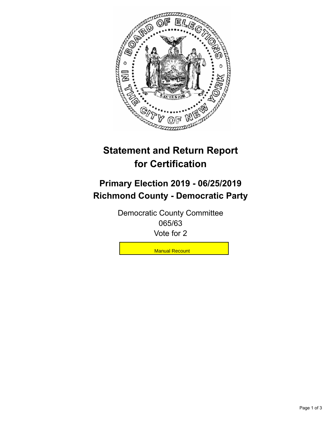

## **Statement and Return Report for Certification**

## **Primary Election 2019 - 06/25/2019 Richmond County - Democratic Party**

Democratic County Committee 065/63 Vote for 2

**Manual Recount**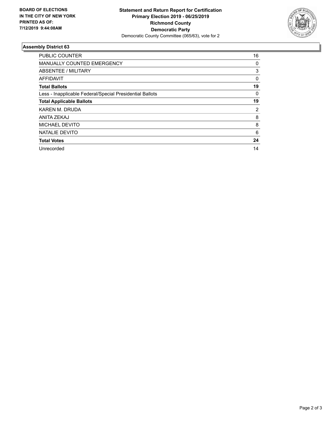

## **Assembly District 63**

| <b>PUBLIC COUNTER</b>                                    | 16       |
|----------------------------------------------------------|----------|
| <b>MANUALLY COUNTED EMERGENCY</b>                        | 0        |
| ABSENTEE / MILITARY                                      | 3        |
| AFFIDAVIT                                                | $\Omega$ |
| <b>Total Ballots</b>                                     | 19       |
| Less - Inapplicable Federal/Special Presidential Ballots | $\Omega$ |
| <b>Total Applicable Ballots</b>                          | 19       |
| KAREN M. DRUDA                                           | 2        |
| ANITA ZEKAJ                                              | 8        |
| MICHAEL DEVITO                                           | 8        |
| NATALIE DEVITO                                           | 6        |
| <b>Total Votes</b>                                       | 24       |
| Unrecorded                                               | 14       |